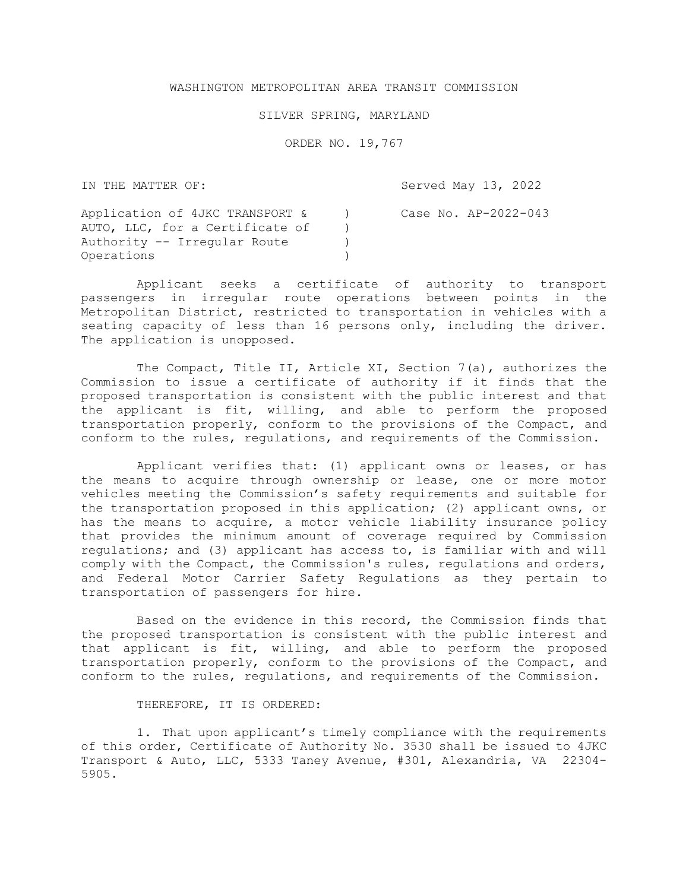## WASHINGTON METROPOLITAN AREA TRANSIT COMMISSION

## SILVER SPRING, MARYLAND

ORDER NO. 19,767

IN THE MATTER OF:

Served May 13, 2022

| Application of 4JKC TRANSPORT & | Case No. AP-2022-043 |
|---------------------------------|----------------------|
| AUTO, LLC, for a Certificate of |                      |
| Authority -- Irregular Route    |                      |
| Operations                      |                      |

Applicant seeks a certificate of authority to transport passengers in irregular route operations between points in the Metropolitan District, restricted to transportation in vehicles with a seating capacity of less than 16 persons only, including the driver. The application is unopposed.

The Compact, Title II, Article XI, Section 7(a), authorizes the Commission to issue a certificate of authority if it finds that the proposed transportation is consistent with the public interest and that the applicant is fit, willing, and able to perform the proposed transportation properly, conform to the provisions of the Compact, and conform to the rules, regulations, and requirements of the Commission.

Applicant verifies that: (1) applicant owns or leases, or has the means to acquire through ownership or lease, one or more motor vehicles meeting the Commission's safety requirements and suitable for the transportation proposed in this application; (2) applicant owns, or has the means to acquire, a motor vehicle liability insurance policy that provides the minimum amount of coverage required by Commission regulations; and (3) applicant has access to, is familiar with and will comply with the Compact, the Commission's rules, regulations and orders, and Federal Motor Carrier Safety Regulations as they pertain to transportation of passengers for hire.

Based on the evidence in this record, the Commission finds that the proposed transportation is consistent with the public interest and that applicant is fit, willing, and able to perform the proposed transportation properly, conform to the provisions of the Compact, and conform to the rules, regulations, and requirements of the Commission.

## THEREFORE, IT IS ORDERED:

1. That upon applicant's timely compliance with the requirements of this order, Certificate of Authority No. 3530 shall be issued to 4JKC Transport & Auto, LLC, 5333 Taney Avenue, #301, Alexandria, VA 22304- 5905.